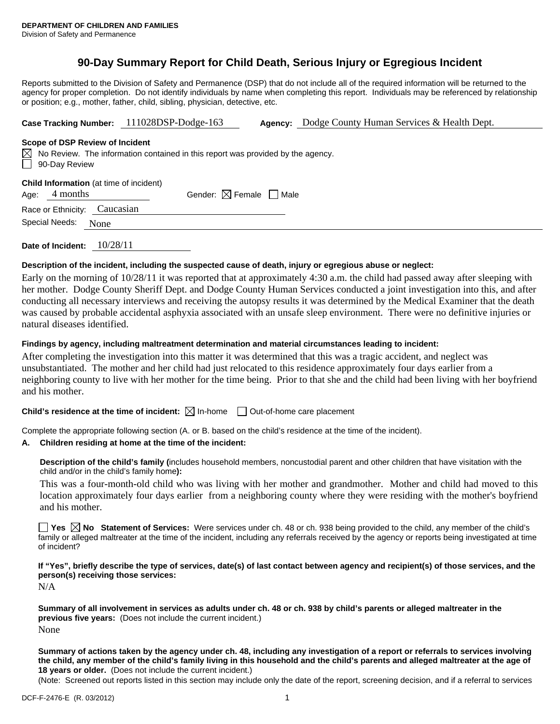# **90-Day Summary Report for Child Death, Serious Injury or Egregious Incident**

Reports submitted to the Division of Safety and Permanence (DSP) that do not include all of the required information will be returned to the agency for proper completion. Do not identify individuals by name when completing this report. Individuals may be referenced by relationship or position; e.g., mother, father, child, sibling, physician, detective, etc.

**Case Tracking Number:** 111028DSP-Dodge-163 **Agency:** Dodge County Human Services & Health Dept.

#### **Scope of DSP Review of Incident**

 $\boxtimes$  No Review. The information contained in this report was provided by the agency. 90-Day Review

**Child Information** (at time of incident)

Age:  $4$  months Gender:  $\boxtimes$  Female  $\Box$  Male

Race or Ethnicity: Caucasian Special Needs: None

**Date of Incident:** 10/28/11

## **Description of the incident, including the suspected cause of death, injury or egregious abuse or neglect:**

Early on the morning of 10/28/11 it was reported that at approximately 4:30 a.m. the child had passed away after sleeping with her mother. Dodge County Sheriff Dept. and Dodge County Human Services conducted a joint investigation into this, and after conducting all necessary interviews and receiving the autopsy results it was determined by the Medical Examiner that the death was caused by probable accidental asphyxia associated with an unsafe sleep environment. There were no definitive injuries or natural diseases identified.

# **Findings by agency, including maltreatment determination and material circumstances leading to incident:**

After completing the investigation into this matter it was determined that this was a tragic accident, and neglect was unsubstantiated. The mother and her child had just relocated to this residence approximately four days earlier from a neighboring county to live with her mother for the time being. Prior to that she and the child had been living with her boyfriend and his mother.

**Child's residence at the time of incident:**  $\boxtimes$  In-home  $\Box$  Out-of-home care placement

Complete the appropriate following section (A. or B. based on the child's residence at the time of the incident).

## **A. Children residing at home at the time of the incident:**

**Description of the child's family (**includes household members, noncustodial parent and other children that have visitation with the child and/or in the child's family home**):** 

This was a four-month-old child who was living with her mother and grandmother. Mother and child had moved to this location approximately four days earlier from a neighboring county where they were residing with the mother's boyfriend and his mother.

■ Yes **No** Statement of Services: Were services under ch. 48 or ch. 938 being provided to the child, any member of the child's family or alleged maltreater at the time of the incident, including any referrals received by the agency or reports being investigated at time of incident?

**If "Yes", briefly describe the type of services, date(s) of last contact between agency and recipient(s) of those services, and the person(s) receiving those services:** 

N/A

**Summary of all involvement in services as adults under ch. 48 or ch. 938 by child's parents or alleged maltreater in the previous five years:** (Does not include the current incident.) None

**Summary of actions taken by the agency under ch. 48, including any investigation of a report or referrals to services involving the child, any member of the child's family living in this household and the child's parents and alleged maltreater at the age of 18 years or older.** (Does not include the current incident.)

(Note: Screened out reports listed in this section may include only the date of the report, screening decision, and if a referral to services